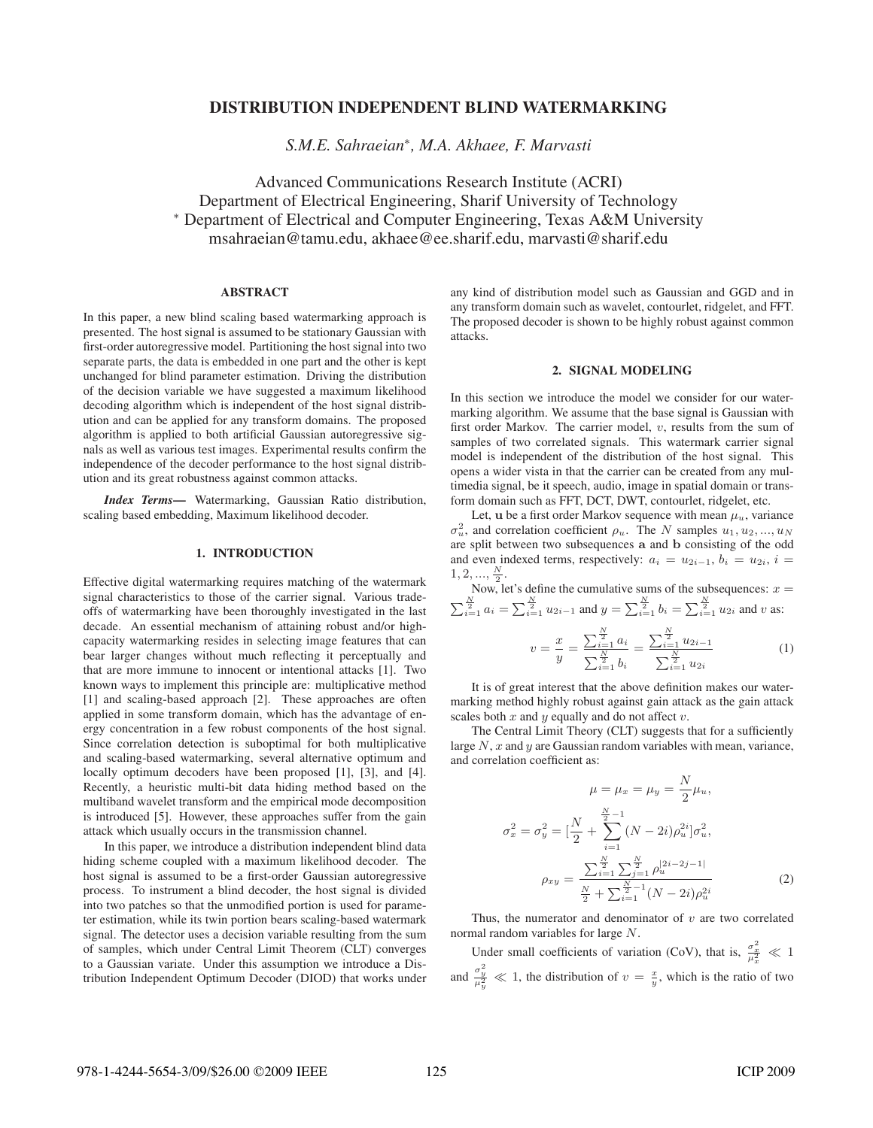# DISTRIBUTION INDEPENDENT BLIND WATERMARKING

*S.M.E. Sahraeian*∗*, M.A. Akhaee, F. Marvasti*

Advanced Communications Research Institute (ACRI) Department of Electrical Engineering, Sharif University of Technology <sup>∗</sup> Department of Electrical and Computer Engineering, Texas A&M University msahraeian@tamu.edu, akhaee@ee.sharif.edu, marvasti@sharif.edu

## ABSTRACT

In this paper, a new blind scaling based watermarking approach is presented. The host signal is assumed to be stationary Gaussian with first-order autoregressive model. Partitioning the host signal into two separate parts, the data is embedded in one part and the other is kept unchanged for blind parameter estimation. Driving the distribution of the decision variable we have suggested a maximum likelihood decoding algorithm which is independent of the host signal distribution and can be applied for any transform domains. The proposed algorithm is applied to both artificial Gaussian autoregressive signals as well as various test images. Experimental results confirm the independence of the decoder performance to the host signal distribution and its great robustness against common attacks.

*Index Terms*— Watermarking, Gaussian Ratio distribution, scaling based embedding, Maximum likelihood decoder.

### 1. INTRODUCTION

Effective digital watermarking requires matching of the watermark signal characteristics to those of the carrier signal. Various tradeoffs of watermarking have been thoroughly investigated in the last decade. An essential mechanism of attaining robust and/or highcapacity watermarking resides in selecting image features that can bear larger changes without much reflecting it perceptually and that are more immune to innocent or intentional attacks [1]. Two known ways to implement this principle are: multiplicative method [1] and scaling-based approach [2]. These approaches are often applied in some transform domain, which has the advantage of energy concentration in a few robust components of the host signal. Since correlation detection is suboptimal for both multiplicative and scaling-based watermarking, several alternative optimum and locally optimum decoders have been proposed [1], [3], and [4]. Recently, a heuristic multi-bit data hiding method based on the multiband wavelet transform and the empirical mode decomposition is introduced [5]. However, these approaches suffer from the gain attack which usually occurs in the transmission channel.

In this paper, we introduce a distribution independent blind data hiding scheme coupled with a maximum likelihood decoder. The host signal is assumed to be a first-order Gaussian autoregressive process. To instrument a blind decoder, the host signal is divided into two patches so that the unmodified portion is used for parameter estimation, while its twin portion bears scaling-based watermark signal. The detector uses a decision variable resulting from the sum of samples, which under Central Limit Theorem (CLT) converges to a Gaussian variate. Under this assumption we introduce a Distribution Independent Optimum Decoder (DIOD) that works under

any kind of distribution model such as Gaussian and GGD and in any transform domain such as wavelet, contourlet, ridgelet, and FFT. The proposed decoder is shown to be highly robust against common attacks.

#### 2. SIGNAL MODELING

In this section we introduce the model we consider for our watermarking algorithm. We assume that the base signal is Gaussian with first order Markov. The carrier model,  $v$ , results from the sum of samples of two correlated signals. This watermark carrier signal model is independent of the distribution of the host signal. This opens a wider vista in that the carrier can be created from any multimedia signal, be it speech, audio, image in spatial domain or transform domain such as FFT, DCT, DWT, contourlet, ridgelet, etc.

Let, **u** be a first order Markov sequence with mean  $\mu_u$ , variance  $\sigma_u^2$ , and correlation coefficient  $\rho_u$ . The N samples  $u_1, u_2, ..., u_N$ are split between two subsequences **a** and **b** consisting of the odd and even indexed terms, respectively:  $a_i = u_{2i-1}, b_i = u_{2i}, i =$  $1, 2, ..., \frac{N}{2}$ .

Now, let's define the cumulative sums of the subsequences:  $x =$  $\sum_{i=1}^{\frac{N}{2}} a_i = \sum_{i=1}^{\frac{N}{2}} u_{2i-1}$  and  $y = \sum_{i=1}^{\frac{N}{2}} b_i = \sum_{i=1}^{\frac{N}{2}} u_{2i}$  and v as:

$$
v = \frac{x}{y} = \frac{\sum_{i=1}^{\frac{N}{2}} a_i}{\sum_{i=1}^{\frac{N}{2}} b_i} = \frac{\sum_{i=1}^{\frac{N}{2}} u_{2i-1}}{\sum_{i=1}^{\frac{N}{2}} u_{2i}} \tag{1}
$$

It is of great interest that the above definition makes our watermarking method highly robust against gain attack as the gain attack scales both  $x$  and  $y$  equally and do not affect  $v$ .

The Central Limit Theory (CLT) suggests that for a sufficiently large  $N$ ,  $x$  and  $y$  are Gaussian random variables with mean, variance, and correlation coefficient as:

$$
\mu = \mu_x = \mu_y = \frac{N}{2}\mu_u,
$$
  
\n
$$
\sigma_x^2 = \sigma_y^2 = \left[\frac{N}{2} + \sum_{i=1}^{\frac{N}{2}-1} (N - 2i)\rho_u^{2i}\right] \sigma_u^2,
$$
  
\n
$$
\rho_{xy} = \frac{\sum_{i=1}^{\frac{N}{2}} \sum_{j=1}^{\frac{N}{2}} \rho_u^{[2i-2j-1]}}{(N - 2i)\rho_u^{2i}}
$$
(2)

Thus, the numerator and denominator of  $v$  are two correlated normal random variables for large N.

Under small coefficients of variation (CoV), that is,  $\frac{\sigma_x^2}{\mu_x^2} \ll 1$ and  $\frac{\sigma_y^2}{\mu_y^2} \ll 1$ , the distribution of  $v = \frac{x}{y}$ , which is the ratio of two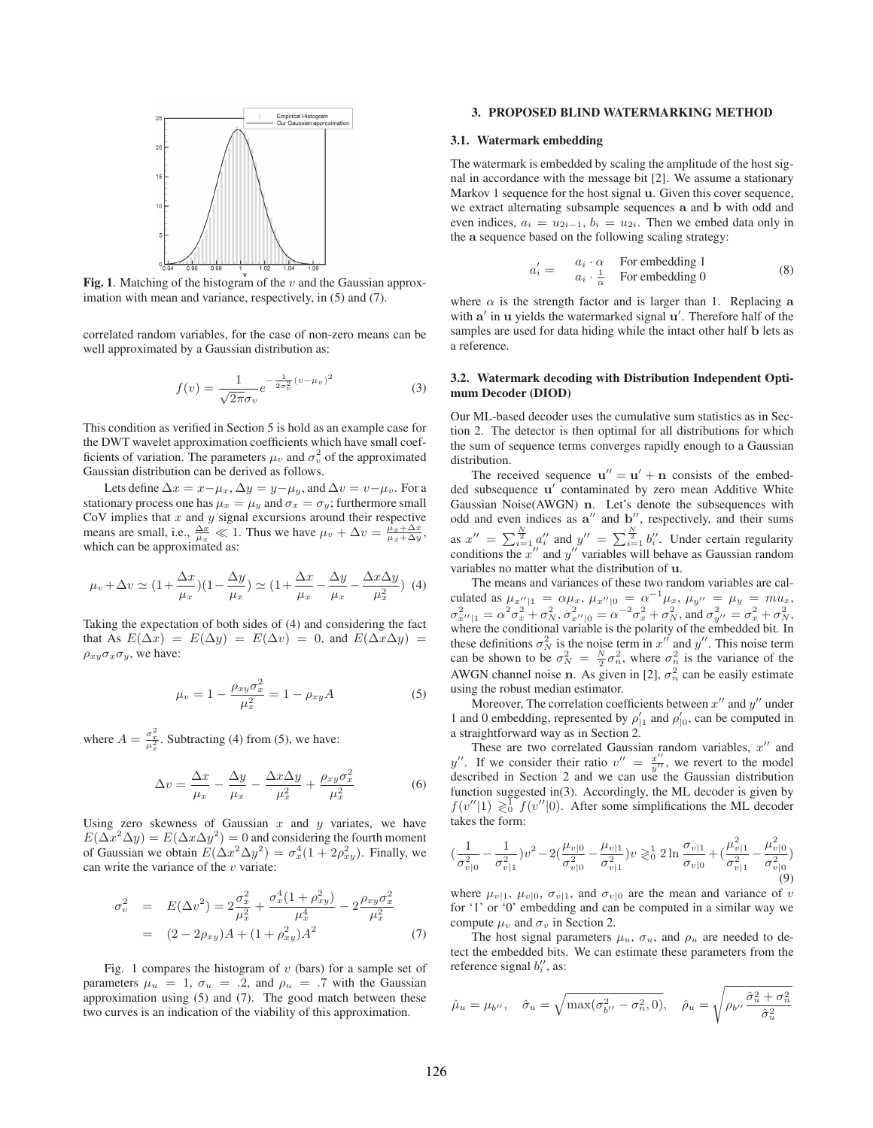

Fig. 1. Matching of the histogram of the  $v$  and the Gaussian approximation with mean and variance, respectively, in (5) and (7).

correlated random variables, for the case of non-zero means can be well approximated by a Gaussian distribution as:

$$
f(v) = \frac{1}{\sqrt{2\pi}\sigma_v} e^{-\frac{1}{2\sigma_v^2}(v-\mu_v)^2}
$$
 (3)

This condition as verified in Section 5 is hold as an example case for the DWT wavelet approximation coefficients which have small coefficients of variation. The parameters  $\mu_v$  and  $\sigma_v^2$  of the approximated Gaussian distribution can be derived as follows.

Lets define  $\Delta x = x - \mu_x$ ,  $\Delta y = y - \mu_y$ , and  $\Delta v = v - \mu_v$ . For a stationary process one has  $\mu_x = \mu_y$  and  $\sigma_x = \sigma_y$ ; furthermore small CoV implies that  $x$  and  $y$  signal excursions around their respective means are small, i.e.,  $\frac{\Delta x}{\mu_x} \ll 1$ . Thus we have  $\mu_v + \Delta v = \frac{\mu_x + \Delta x}{\mu_x + \Delta y}$ , which can be approximated as:

$$
\mu_v + \Delta v \simeq (1 + \frac{\Delta x}{\mu_x})(1 - \frac{\Delta y}{\mu_x}) \simeq (1 + \frac{\Delta x}{\mu_x} - \frac{\Delta y}{\mu_x} - \frac{\Delta x \Delta y}{\mu_x^2}) \tag{4}
$$

Taking the expectation of both sides of (4) and considering the fact that As  $E(\Delta x) = E(\Delta y) = E(\Delta v) = 0$ , and  $E(\Delta x \Delta y) = 0$  $\rho_{xy}\sigma_x\sigma_y$ , we have:

$$
\mu_v = 1 - \frac{\rho_{xy}\sigma_x^2}{\mu_x^2} = 1 - \rho_{xy}A
$$
 (5)

where  $A = \frac{\sigma_x^2}{\mu_x^2}$ . Subtracting (4) from (5), we have:

$$
\Delta v = \frac{\Delta x}{\mu_x} - \frac{\Delta y}{\mu_x} - \frac{\Delta x \Delta y}{\mu_x^2} + \frac{\rho_{xy} \sigma_x^2}{\mu_x^2}
$$
(6)

Using zero skewness of Gaussian  $x$  and  $y$  variates, we have  $E(\Delta x^2 \Delta y) = E(\Delta x \Delta y^2) = 0$  and considering the fourth moment of Gaussian we obtain  $E(\Delta x^2 \Delta y^2) = \sigma_x^4 (1 + 2\rho_{xy}^2)$ . Finally, we can write the variance of the  $v$  variate:

$$
\sigma_v^2 = E(\Delta v^2) = 2 \frac{\sigma_x^2}{\mu_x^2} + \frac{\sigma_x^4 (1 + \rho_{xy}^2)}{\mu_x^4} - 2 \frac{\rho_{xy} \sigma_x^2}{\mu_x^2}
$$
  
= 
$$
(2 - 2\rho_{xy})A + (1 + \rho_{xy}^2)A^2
$$
 (7)

Fig. 1 compares the histogram of  $v$  (bars) for a sample set of parameters  $\mu_u = 1$ ,  $\sigma_u = .2$ , and  $\rho_u = .7$  with the Gaussian approximation using (5) and (7). The good match between these two curves is an indication of the viability of this approximation.

### 3. PROPOSED BLIND WATERMARKING METHOD

### 3.1. Watermark embedding

The watermark is embedded by scaling the amplitude of the host signal in accordance with the message bit [2]. We assume a stationary Markov 1 sequence for the host signal **u**. Given this cover sequence, we extract alternating subsample sequences **a** and **b** with odd and even indices,  $a_i = u_{2i-1}$ ,  $b_i = u_{2i}$ . Then we embed data only in the **a** sequence based on the following scaling strategy:

$$
a'_{i} = \begin{array}{cc} a_{i} \cdot \alpha & \text{For embedding 1} \\ a_{i} \cdot \frac{1}{\alpha} & \text{For embedding 0} \end{array}
$$
 (8)

where  $\alpha$  is the strength factor and is larger than 1. Replacing **a** with a' in **u** yields the watermarked signal **u**'. Therefore half of the samples are used for data hiding while the intact other half **b** lets as a reference.

### 3.2. Watermark decoding with Distribution Independent Optimum Decoder (DIOD)

Our ML-based decoder uses the cumulative sum statistics as in Section 2. The detector is then optimal for all distributions for which the sum of sequence terms converges rapidly enough to a Gaussian distribution.

The received sequence  $\mathbf{u}'' = \mathbf{u}' + \mathbf{n}$  consists of the embedded subsequence **u**' contaminated by zero mean Additive White Gaussian Noise(AWGN) **n**. Let's denote the subsequences with odd and even indices as  $a''$  and  $b''$ , respectively, and their sums as  $x'' = \sum_{i=1}^{\frac{N}{2}} a''_i$  and  $y'' = \sum_{i=1}^{\frac{N}{2}} b''_i$ . Under certain regularity conditions the  $x''$  and  $y''$  variables will behave as Gaussian random variables no matter what the distribution of **u**.

The means and variances of these two random variables are calculated as  $\mu_{x''|1} = \alpha \mu_x$ ,  $\mu_{x''|0} = \alpha^{-1} \mu_x$ ,  $\mu_{y''} = \mu_y = m u_x$ ,  $\sigma_{x''|1}^2 = \alpha^2 \sigma_x^2 + \sigma_N^2$ ,  $\sigma_{x''|0}^2 = \alpha^{-2} \sigma_x^2 + \sigma_N^2$ , and  $\sigma_{y''}^2 = \sigma_x^2 + \sigma_N^2$ , where the conditional variable is the polarity of the embedded bit. In these definitions  $\sigma_N^2$  is the noise term in  $x''$  and  $y''$ . This noise term can be shown to be  $\sigma_N^2 = \frac{N}{2} \sigma_n^2$ , where  $\sigma_n^2$  is the variance of the AWGN channel noise **n**. As given in [2],  $\sigma_n^2$  can be easily estimate using the robust median estimator.

Moreover, The correlation coefficients between  $x''$  and  $y''$  under 1 and 0 embedding, represented by  $\rho'_{|1}$  and  $\rho'_{|0}$ , can be computed in a straightforward way as in Section 2.

These are two correlated Gaussian random variables,  $x''$  and y''. If we consider their ratio  $v'' = \frac{x''}{y''}$ , we revert to the model described in Section 2 and we can use the Gaussian distribution function suggested in(3). Accordingly, the ML decoder is given by  $f(v''|1) \geq 0$   $f(v''|0)$ . After some simplifications the ML decoder takes the form:

$$
\left(\frac{1}{\sigma_{v|0}^2} - \frac{1}{\sigma_{v|1}^2}\right)v^2 - 2\left(\frac{\mu_{v|0}}{\sigma_{v|0}^2} - \frac{\mu_{v|1}}{\sigma_{v|1}^2}\right)v \ge \frac{1}{0} 2\ln\frac{\sigma_{v|1}}{\sigma_{v|0}} + \left(\frac{\mu_{v|1}^2}{\sigma_{v|1}^2} - \frac{\mu_{v|0}^2}{\sigma_{v|0}^2}\right)
$$
\n(9)

where  $\mu_{v|1}$ ,  $\mu_{v|0}$ ,  $\sigma_{v|1}$ , and  $\sigma_{v|0}$  are the mean and variance of v for '1' or '0' embedding and can be computed in a similar way we compute  $\mu_v$  and  $\sigma_v$  in Section 2.

The host signal parameters  $\mu_u$ ,  $\sigma_u$ , and  $\rho_u$  are needed to detect the embedded bits. We can estimate these parameters from the reference signal  $b_i^{\prime\prime}$ , as:

$$
\hat{\mu}_u = \mu_{b''}, \quad \hat{\sigma}_u = \sqrt{\max(\sigma_{b''}^2 - \sigma_n^2, 0)}, \quad \hat{\rho}_u = \sqrt{\rho_{b''}\frac{\hat{\sigma}_u^2 + \sigma_n^2}{\hat{\sigma}_u^2}}
$$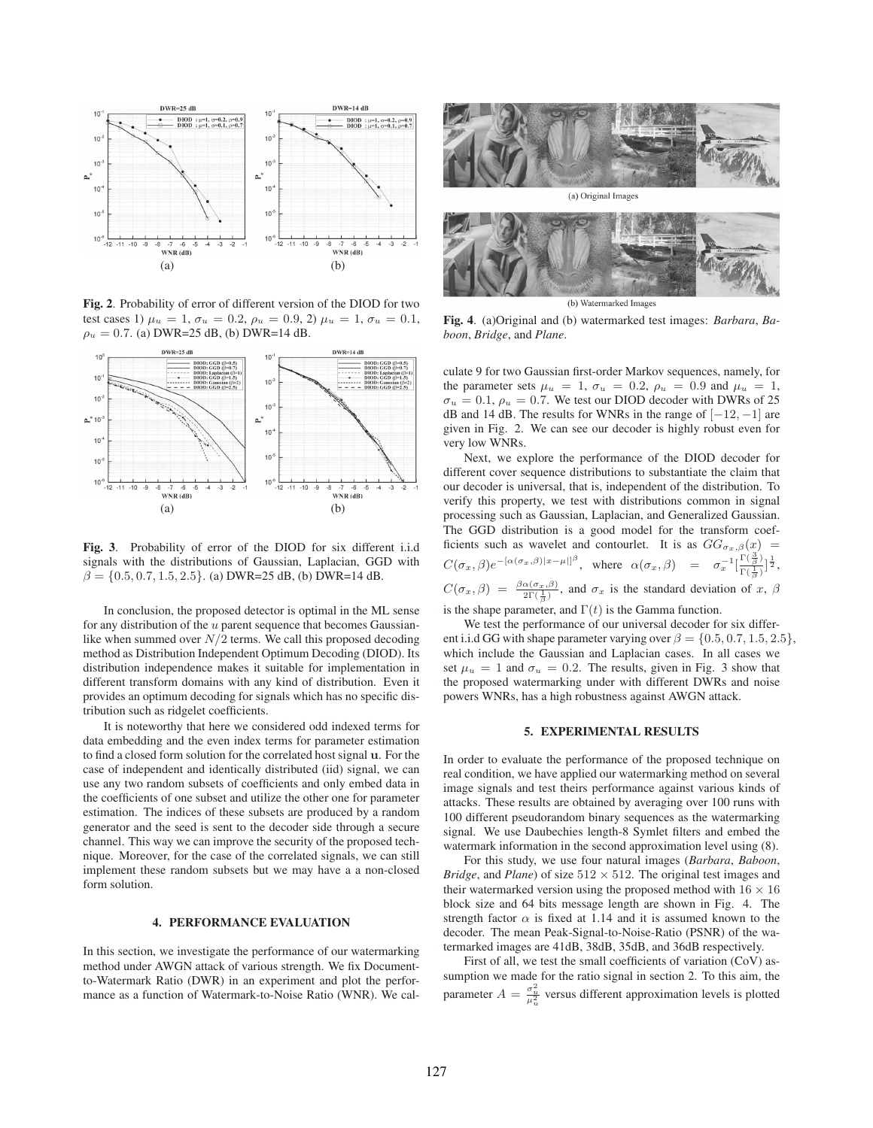

Fig. 2. Probability of error of different version of the DIOD for two test cases 1)  $\mu_u = 1$ ,  $\sigma_u = 0.2$ ,  $\rho_u = 0.9$ , 2)  $\mu_u = 1$ ,  $\sigma_u = 0.1$ ,  $\rho_u = 0.7$ . (a) DWR=25 dB, (b) DWR=14 dB.



Fig. 3. Probability of error of the DIOD for six different i.i.d signals with the distributions of Gaussian, Laplacian, GGD with  $\beta = \{0.5, 0.7, 1.5, 2.5\}$ . (a) DWR=25 dB, (b) DWR=14 dB.

In conclusion, the proposed detector is optimal in the ML sense for any distribution of the  $u$  parent sequence that becomes Gaussianlike when summed over  $N/2$  terms. We call this proposed decoding method as Distribution Independent Optimum Decoding (DIOD). Its distribution independence makes it suitable for implementation in different transform domains with any kind of distribution. Even it provides an optimum decoding for signals which has no specific distribution such as ridgelet coefficients.

It is noteworthy that here we considered odd indexed terms for data embedding and the even index terms for parameter estimation to find a closed form solution for the correlated host signal **u**. For the case of independent and identically distributed (iid) signal, we can use any two random subsets of coefficients and only embed data in the coefficients of one subset and utilize the other one for parameter estimation. The indices of these subsets are produced by a random generator and the seed is sent to the decoder side through a secure channel. This way we can improve the security of the proposed technique. Moreover, for the case of the correlated signals, we can still implement these random subsets but we may have a a non-closed form solution.

## 4. PERFORMANCE EVALUATION

In this section, we investigate the performance of our watermarking method under AWGN attack of various strength. We fix Documentto-Watermark Ratio (DWR) in an experiment and plot the performance as a function of Watermark-to-Noise Ratio (WNR). We cal-



(b) Watermarked Images Fig. 4. (a)Original and (b) watermarked test images: *Barbara*, *Baboon*, *Bridge*, and *Plane*.

culate 9 for two Gaussian first-order Markov sequences, namely, for the parameter sets  $\mu_u = 1$ ,  $\sigma_u = 0.2$ ,  $\rho_u = 0.9$  and  $\mu_u = 1$ ,  $\sigma_u = 0.1$ ,  $\rho_u = 0.7$ . We test our DIOD decoder with DWRs of 25 dB and 14 dB. The results for WNRs in the range of  $[-12, -1]$  are given in Fig. 2. We can see our decoder is highly robust even for very low WNRs.

Next, we explore the performance of the DIOD decoder for different cover sequence distributions to substantiate the claim that our decoder is universal, that is, independent of the distribution. To verify this property, we test with distributions common in signal processing such as Gaussian, Laplacian, and Generalized Gaussian. The GGD distribution is a good model for the transform coefficients such as wavelet and contourlet. It is as  $GG_{\sigma_x,\beta}(x)$  =  $C(\sigma_x, \beta) e^{-\left[\alpha(\sigma_x, \beta)|x-\mu|\right] \beta}, \ \ \text{where} \ \ \alpha(\sigma_x, \beta) \ \ = \ \ \sigma_x^{-1} \left[ \frac{\Gamma(\frac{3}{\beta})}{\Gamma(\frac{1}{\beta})} \right]^{\frac{1}{2}},$  $C(\sigma_x, \beta) = \frac{\beta \alpha(\sigma_x, \beta)}{2\Gamma(\frac{1}{\beta})}$ , and  $\sigma_x$  is the standard deviation of x,  $\beta$ 

is the shape parameter, and  $\Gamma(t)$  is the Gamma function.

We test the performance of our universal decoder for six different i.i.d GG with shape parameter varying over  $\beta = \{0.5, 0.7, 1.5, 2.5\}$ , which include the Gaussian and Laplacian cases. In all cases we set  $\mu_u = 1$  and  $\sigma_u = 0.2$ . The results, given in Fig. 3 show that the proposed watermarking under with different DWRs and noise powers WNRs, has a high robustness against AWGN attack.

#### 5. EXPERIMENTAL RESULTS

In order to evaluate the performance of the proposed technique on real condition, we have applied our watermarking method on several image signals and test theirs performance against various kinds of attacks. These results are obtained by averaging over 100 runs with 100 different pseudorandom binary sequences as the watermarking signal. We use Daubechies length-8 Symlet filters and embed the watermark information in the second approximation level using (8).

For this study, we use four natural images (*Barbara*, *Baboon*, *Bridge*, and *Plane*) of size  $512 \times 512$ . The original test images and their watermarked version using the proposed method with  $16 \times 16$ block size and 64 bits message length are shown in Fig. 4. The strength factor  $\alpha$  is fixed at 1.14 and it is assumed known to the decoder. The mean Peak-Signal-to-Noise-Ratio (PSNR) of the watermarked images are 41dB, 38dB, 35dB, and 36dB respectively.

First of all, we test the small coefficients of variation (CoV) assumption we made for the ratio signal in section 2. To this aim, the parameter  $A = \frac{\sigma_u^2}{\mu_u^2}$  versus different approximation levels is plotted